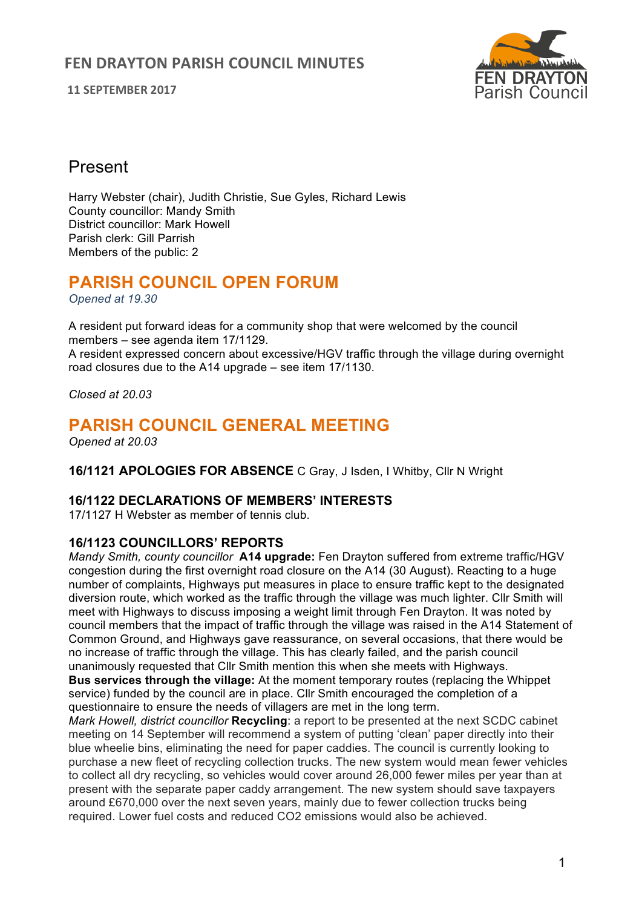**11 SEPTEMBER 2017**



# Present

Harry Webster (chair), Judith Christie, Sue Gyles, Richard Lewis County councillor: Mandy Smith District councillor: Mark Howell Parish clerk: Gill Parrish Members of the public: 2

# **PARISH COUNCIL OPEN FORUM**

*Opened at 19.30*

A resident put forward ideas for a community shop that were welcomed by the council members – see agenda item 17/1129.

A resident expressed concern about excessive/HGV traffic through the village during overnight road closures due to the A14 upgrade – see item 17/1130.

*Closed at 20.03*

# **PARISH COUNCIL GENERAL MEETING**

*Opened at 20.03*

**16/1121 APOLOGIES FOR ABSENCE** C Gray, J Isden, I Whitby, Cllr N Wright

## **16/1122 DECLARATIONS OF MEMBERS' INTERESTS**

17/1127 H Webster as member of tennis club.

## **16/1123 COUNCILLORS' REPORTS**

*Mandy Smith, county councillor* **A14 upgrade:** Fen Drayton suffered from extreme traffic/HGV congestion during the first overnight road closure on the A14 (30 August). Reacting to a huge number of complaints, Highways put measures in place to ensure traffic kept to the designated diversion route, which worked as the traffic through the village was much lighter. Cllr Smith will meet with Highways to discuss imposing a weight limit through Fen Drayton. It was noted by council members that the impact of traffic through the village was raised in the A14 Statement of Common Ground, and Highways gave reassurance, on several occasions, that there would be no increase of traffic through the village. This has clearly failed, and the parish council unanimously requested that Cllr Smith mention this when she meets with Highways. **Bus services through the village:** At the moment temporary routes (replacing the Whippet

service) funded by the council are in place. Cllr Smith encouraged the completion of a questionnaire to ensure the needs of villagers are met in the long term.

*Mark Howell, district councillor* **Recycling**: a report to be presented at the next SCDC cabinet meeting on 14 September will recommend a system of putting 'clean' paper directly into their blue wheelie bins, eliminating the need for paper caddies. The council is currently looking to purchase a new fleet of recycling collection trucks. The new system would mean fewer vehicles to collect all dry recycling, so vehicles would cover around 26,000 fewer miles per year than at present with the separate paper caddy arrangement. The new system should save taxpayers around £670,000 over the next seven years, mainly due to fewer collection trucks being required. Lower fuel costs and reduced CO2 emissions would also be achieved.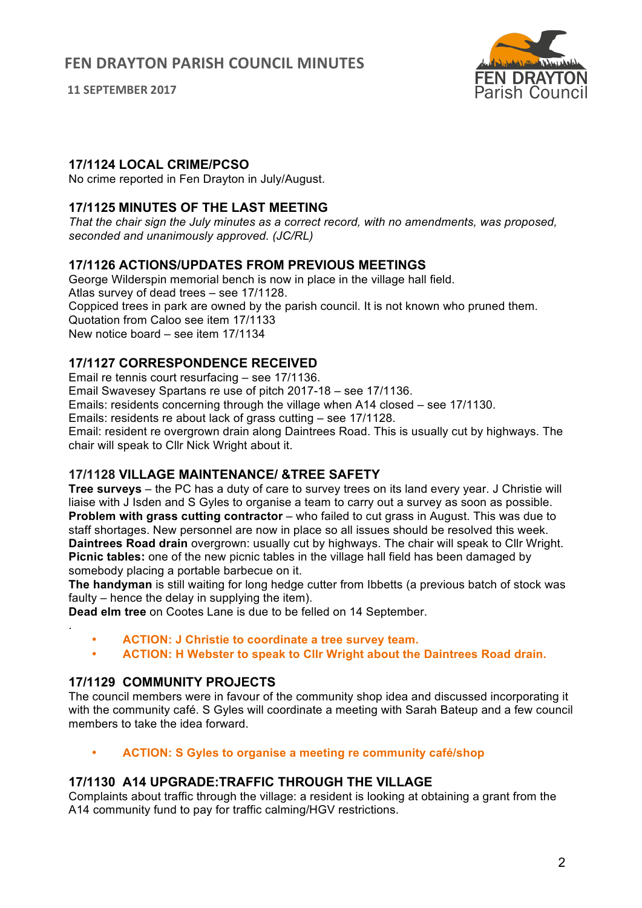**11 SEPTEMBER 2017**



## **17/1124 LOCAL CRIME/PCSO**

No crime reported in Fen Drayton in July/August.

## **17/1125 MINUTES OF THE LAST MEETING**

*That the chair sign the July minutes as a correct record, with no amendments, was proposed, seconded and unanimously approved. (JC/RL)*

## **17/1126 ACTIONS/UPDATES FROM PREVIOUS MEETINGS**

George Wilderspin memorial bench is now in place in the village hall field. Atlas survey of dead trees – see 17/1128. Coppiced trees in park are owned by the parish council. It is not known who pruned them. Quotation from Caloo see item 17/1133 New notice board – see item 17/1134

## **17/1127 CORRESPONDENCE RECEIVED**

Email re tennis court resurfacing – see 17/1136.

Email Swavesey Spartans re use of pitch 2017-18 – see 17/1136.

Emails: residents concerning through the village when A14 closed – see 17/1130.

Emails: residents re about lack of grass cutting – see 17/1128.

Email: resident re overgrown drain along Daintrees Road. This is usually cut by highways. The chair will speak to Cllr Nick Wright about it.

## **17/1128 VILLAGE MAINTENANCE/ &TREE SAFETY**

**Tree surveys** – the PC has a duty of care to survey trees on its land every year. J Christie will liaise with J Isden and S Gyles to organise a team to carry out a survey as soon as possible. **Problem with grass cutting contractor** – who failed to cut grass in August. This was due to staff shortages. New personnel are now in place so all issues should be resolved this week. **Daintrees Road drain** overgrown: usually cut by highways. The chair will speak to Cllr Wright. **Picnic tables:** one of the new picnic tables in the village hall field has been damaged by somebody placing a portable barbecue on it.

**The handyman** is still waiting for long hedge cutter from Ibbetts (a previous batch of stock was faulty – hence the delay in supplying the item).

**Dead elm tree** on Cootes Lane is due to be felled on 14 September.

- **ACTION: J Christie to coordinate a tree survey team.**
- **ACTION: H Webster to speak to Cllr Wright about the Daintrees Road drain.**

## **17/1129 COMMUNITY PROJECTS**

.

The council members were in favour of the community shop idea and discussed incorporating it with the community café. S Gyles will coordinate a meeting with Sarah Bateup and a few council members to take the idea forward.

• **ACTION: S Gyles to organise a meeting re community café/shop**

## **17/1130 A14 UPGRADE:TRAFFIC THROUGH THE VILLAGE**

Complaints about traffic through the village: a resident is looking at obtaining a grant from the A14 community fund to pay for traffic calming/HGV restrictions.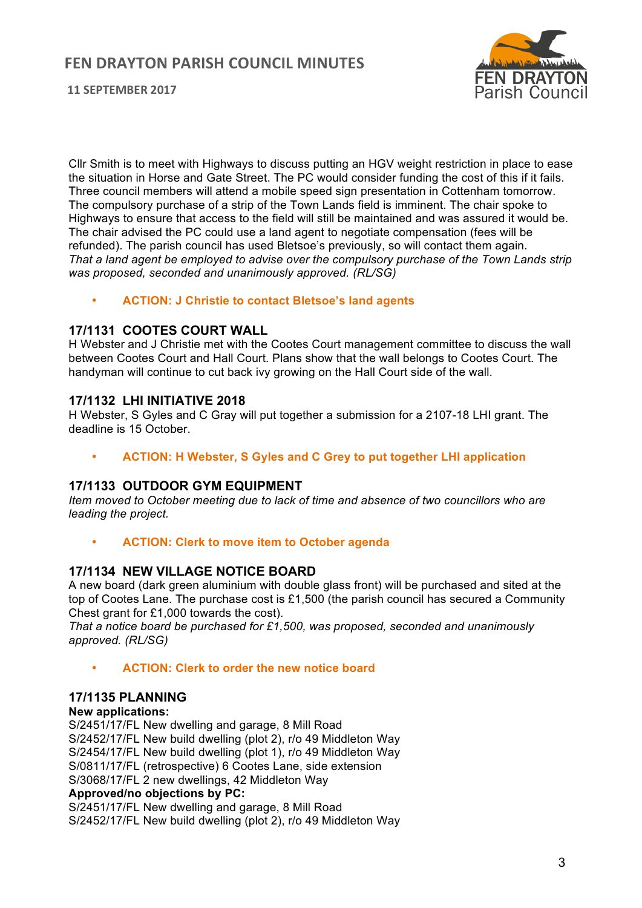## **FEN DRAYTON PARISH COUNCIL MINUTES**



**11 SEPTEMBER 2017**

Cllr Smith is to meet with Highways to discuss putting an HGV weight restriction in place to ease the situation in Horse and Gate Street. The PC would consider funding the cost of this if it fails. Three council members will attend a mobile speed sign presentation in Cottenham tomorrow. The compulsory purchase of a strip of the Town Lands field is imminent. The chair spoke to Highways to ensure that access to the field will still be maintained and was assured it would be. The chair advised the PC could use a land agent to negotiate compensation (fees will be refunded). The parish council has used Bletsoe's previously, so will contact them again. *That a land agent be employed to advise over the compulsory purchase of the Town Lands strip was proposed, seconded and unanimously approved. (RL/SG)*

• **ACTION: J Christie to contact Bletsoe's land agents**

## **17/1131 COOTES COURT WALL**

H Webster and J Christie met with the Cootes Court management committee to discuss the wall between Cootes Court and Hall Court. Plans show that the wall belongs to Cootes Court. The handyman will continue to cut back ivy growing on the Hall Court side of the wall.

### **17/1132 LHI INITIATIVE 2018**

H Webster, S Gyles and C Gray will put together a submission for a 2107-18 LHI grant. The deadline is 15 October.

• **ACTION: H Webster, S Gyles and C Grey to put together LHI application**

### **17/1133 OUTDOOR GYM EQUIPMENT**

*Item moved to October meeting due to lack of time and absence of two councillors who are leading the project.*

• **ACTION: Clerk to move item to October agenda**

### **17/1134 NEW VILLAGE NOTICE BOARD**

A new board (dark green aluminium with double glass front) will be purchased and sited at the top of Cootes Lane. The purchase cost is £1,500 (the parish council has secured a Community Chest grant for £1,000 towards the cost).

*That a notice board be purchased for £1,500, was proposed, seconded and unanimously approved. (RL/SG)*

• **ACTION: Clerk to order the new notice board**

### **17/1135 PLANNING**

#### **New applications:**

S/2451/17/FL New dwelling and garage, 8 Mill Road S/2452/17/FL New build dwelling (plot 2), r/o 49 Middleton Way S/2454/17/FL New build dwelling (plot 1), r/o 49 Middleton Way S/0811/17/FL (retrospective) 6 Cootes Lane, side extension S/3068/17/FL 2 new dwellings, 42 Middleton Way **Approved/no objections by PC:** S/2451/17/FL New dwelling and garage, 8 Mill Road

S/2452/17/FL New build dwelling (plot 2), r/o 49 Middleton Way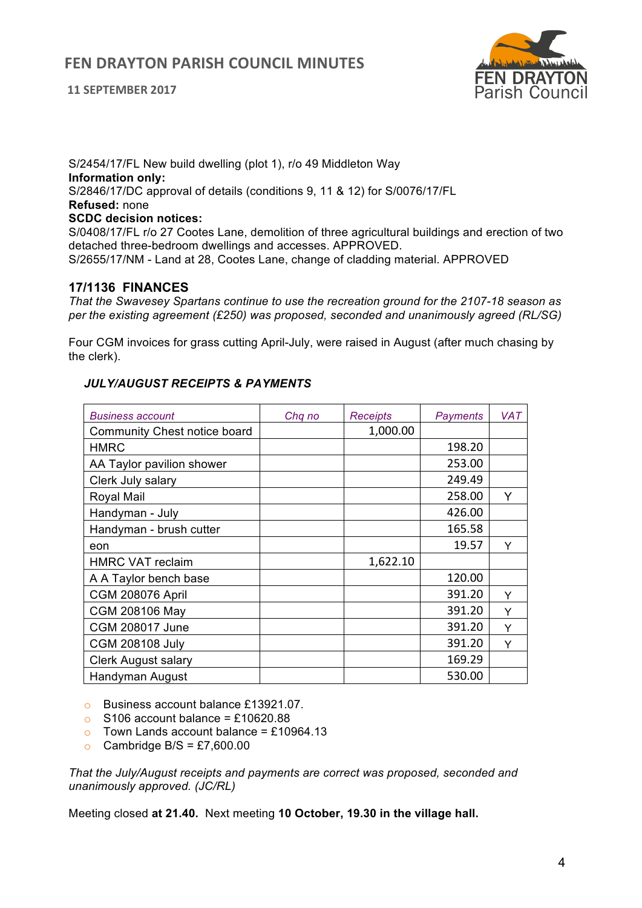#### **11 SEPTEMBER 2017**



S/2454/17/FL New build dwelling (plot 1), r/o 49 Middleton Way **Information only:** S/2846/17/DC approval of details (conditions 9, 11 & 12) for S/0076/17/FL **Refused:** none **SCDC decision notices:**  S/0408/17/FL r/o 27 Cootes Lane, demolition of three agricultural buildings and erection of two detached three-bedroom dwellings and accesses. APPROVED.

S/2655/17/NM - Land at 28, Cootes Lane, change of cladding material. APPROVED

### **17/1136 FINANCES**

*That the Swavesey Spartans continue to use the recreation ground for the 2107-18 season as per the existing agreement (£250) was proposed, seconded and unanimously agreed (RL/SG)*

Four CGM invoices for grass cutting April-July, were raised in August (after much chasing by the clerk).

| <b>Business account</b>      | Chq no | <b>Receipts</b> | <b>Payments</b> | <b>VAT</b> |
|------------------------------|--------|-----------------|-----------------|------------|
| Community Chest notice board |        | 1,000.00        |                 |            |
| <b>HMRC</b>                  |        |                 | 198.20          |            |
| AA Taylor pavilion shower    |        |                 | 253.00          |            |
| Clerk July salary            |        |                 | 249.49          |            |
| Royal Mail                   |        |                 | 258.00          | Y          |
| Handyman - July              |        |                 | 426.00          |            |
| Handyman - brush cutter      |        |                 | 165.58          |            |
| eon                          |        |                 | 19.57           | Y          |
| <b>HMRC VAT reclaim</b>      |        | 1,622.10        |                 |            |
| A A Taylor bench base        |        |                 | 120.00          |            |
| <b>CGM 208076 April</b>      |        |                 | 391.20          | Υ          |
| CGM 208106 May               |        |                 | 391.20          | Υ          |
| <b>CGM 208017 June</b>       |        |                 | 391.20          | Y          |
| <b>CGM 208108 July</b>       |        |                 | 391.20          | Y          |
| <b>Clerk August salary</b>   |        |                 | 169.29          |            |
| Handyman August              |        |                 | 530.00          |            |

### *JULY/AUGUST RECEIPTS & PAYMENTS*

o Business account balance £13921.07.

- $\Omega$  S106 account balance = £10620.88
- $\circ$  Town Lands account balance = £10964.13
- Cambridge B/S =  $£7,600.00$

*That the July/August receipts and payments are correct was proposed, seconded and unanimously approved. (JC/RL)*

Meeting closed **at 21.40.** Next meeting **10 October, 19.30 in the village hall.**